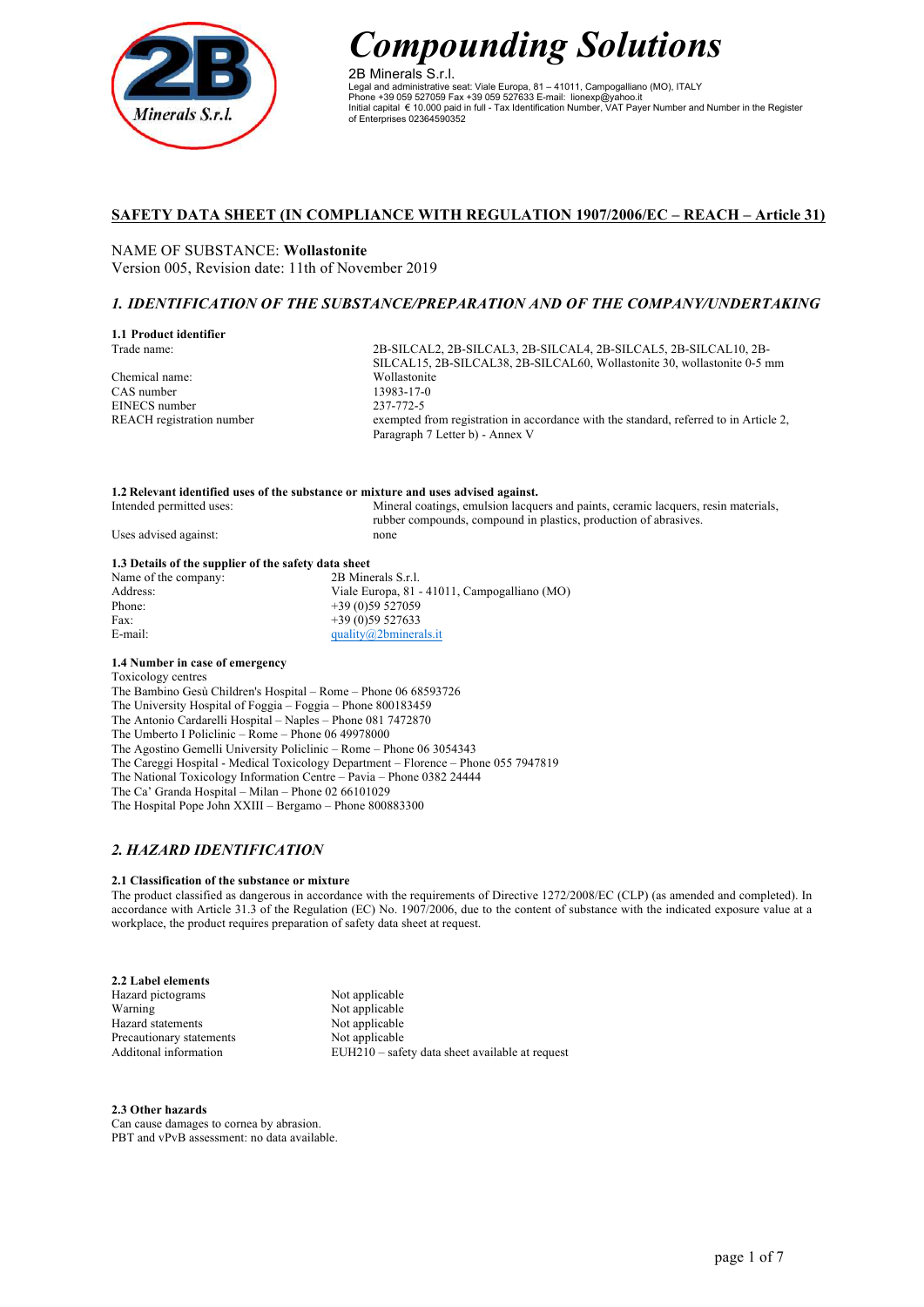

2B Minerals S.r.l. Legal and administrative seat: Viale Europa, 81 – 41011, Campogalliano (MO), ITALY Phone +39 059 527059 Fax +39 059 527633 E-mail: lionexp@yahoo.it Initial capital € 10.000 paid in full - Tax Identification Number, VAT Payer Number and Number in the Register of Enterprises 02364590352

# **SAFETY DATA SHEET (IN COMPLIANCE WITH REGULATION 1907/2006/EC – REACH – Article 31)**

NAME OF SUBSTANCE: **Wollastonite** Version 005, Revision date: 11th of November 2019

# *1. IDENTIFICATION OF THE SUBSTANCE/PREPARATION AND OF THE COMPANY/UNDERTAKING*

#### **1.1 Product identifier** Trade name:

Chemical name: CAS number EINECS number REACH registration number

2B-SILCAL2, 2B-SILCAL3, 2B-SILCAL4, 2B-SILCAL5, 2B-SILCAL10, 2B-SILCAL15, 2B-SILCAL38, 2B-SILCAL60, Wollastonite 30, wollastonite 0-5 mm Wollastonite 13983-17-0 237-772-5 exempted from registration in accordance with the standard, referred to in Article 2, Paragraph 7 Letter b) - Annex V

## **1.2 Relevant identified uses of the substance or mixture and uses advised against.**

| Intended permitted uses: | Mineral coatings, emulsion lacquers and paints, ceramic lacquers, resin materials, |
|--------------------------|------------------------------------------------------------------------------------|
|                          | rubber compounds, compound in plastics, production of abrasives.                   |
| Uses advised against:    | none                                                                               |

## **1.3 Details of the supplier of the safety data sheet**

| Name of the company: | 2B Minerals S.r.l.                           |
|----------------------|----------------------------------------------|
| Address:             | Viale Europa, 81 - 41011, Campogalliano (MO) |
| Phone:               | $+39(0)59527059$                             |
| Fax:                 | $+39(0)59527633$                             |
| E-mail:              | quality@2bminerals.it                        |
|                      |                                              |

## **1.4 Number in case of emergency**

Toxicology centres

The Bambino Gesù Children's Hospital – Rome – Phone 06 68593726 The University Hospital of Foggia – Foggia – Phone 800183459 The Antonio Cardarelli Hospital – Naples – Phone 081 7472870 The Umberto I Policlinic – Rome – Phone 06 49978000 The Agostino Gemelli University Policlinic – Rome – Phone 06 3054343 The Careggi Hospital - Medical Toxicology Department – Florence – Phone 055 7947819 The National Toxicology Information Centre – Pavia – Phone 0382 24444 The Ca' Granda Hospital – Milan – Phone 02 66101029 The Hospital Pope John XXIII – Bergamo – Phone 800883300

# *2. HAZARD IDENTIFICATION*

## **2.1 Classification of the substance or mixture**

The product classified as dangerous in accordance with the requirements of Directive 1272/2008/EC (CLP) (as amended and completed). In accordance with Article 31.3 of the Regulation (EC) No. 1907/2006, due to the content of substance with the indicated exposure value at a workplace, the product requires preparation of safety data sheet at request.

| Not applicable                                  |
|-------------------------------------------------|
| Not applicable                                  |
| Not applicable                                  |
| Not applicable                                  |
| EUH210 – safety data sheet available at request |
|                                                 |

#### **2.3 Other hazards**

Can cause damages to cornea by abrasion. PBT and vPvB assessment: no data available.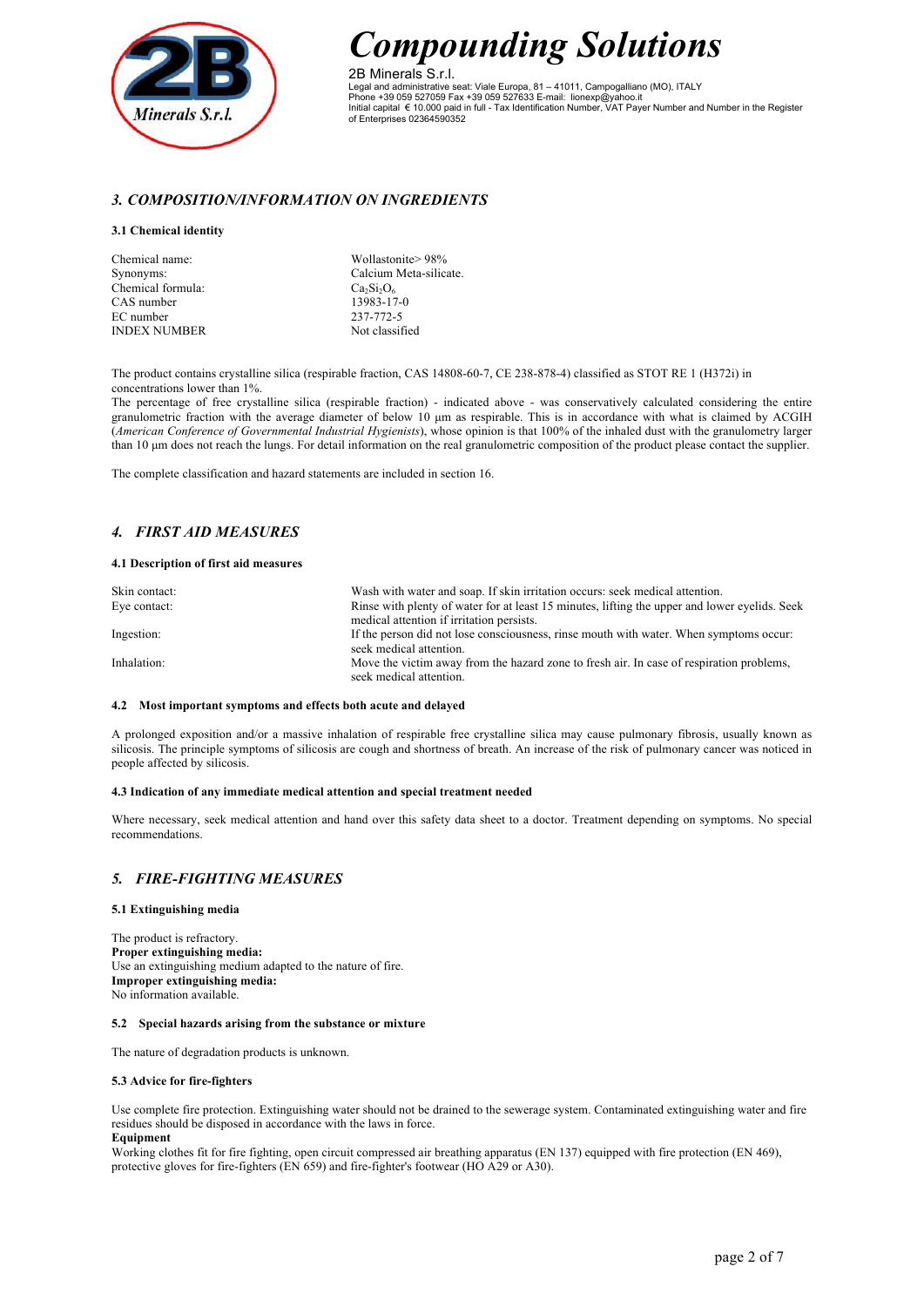

2B Minerals S.r.l. Legal and administrative seat: Viale Europa, 81 – 41011, Campogalliano (MO), ITALY Phone +39 059 527059 Fax +39 059 527633 E-mail: lionexp@yahoo.it Initial capital € 10.000 paid in full - Tax Identification Number, VAT Payer Number and Number in the Register of Enterprises 02364590352

# *3. COMPOSITION/INFORMATION ON INGREDIENTS*

#### **3.1 Chemical identity**

| Chemical name:      | Wollastonite > 98%     |
|---------------------|------------------------|
| Synonyms:           | Calcium Meta-silicate. |
| Chemical formula:   | $Ca_2Si_2O_6$          |
| CAS number          | 13983-17-0             |
| EC number           | 237-772-5              |
| <b>INDEX NUMBER</b> | Not classified         |

The product contains crystalline silica (respirable fraction, CAS 14808-60-7, CE 238-878-4) classified as STOT RE 1 (H372i) in concentrations lower than 1%.

The percentage of free crystalline silica (respirable fraction) - indicated above - was conservatively calculated considering the entire granulometric fraction with the average diameter of below 10  $\mu$ m as respirable. This is in accordance with what is claimed by ACGIH (*American Conference of Governmental Industrial Hygienists*), whose opinion is that 100% of the inhaled dust with the granulometry larger than 10 µm does not reach the lungs. For detail information on the real granulometric composition of the product please contact the supplier.

The complete classification and hazard statements are included in section 16.

# *4. FIRST AID MEASURES*

#### **4.1 Description of first aid measures**

| Skin contact: | Wash with water and soap. If skin irritation occurs: seek medical attention.                  |
|---------------|-----------------------------------------------------------------------------------------------|
| Eye contact:  | Rinse with plenty of water for at least 15 minutes, lifting the upper and lower evelids. Seek |
|               | medical attention if irritation persists.                                                     |
| Ingestion:    | If the person did not lose consciousness, rinse mouth with water. When symptoms occur:        |
|               | seek medical attention.                                                                       |
| Inhalation:   | Move the victim away from the hazard zone to fresh air. In case of respiration problems,      |
|               | seek medical attention.                                                                       |

#### **4.2 Most important symptoms and effects both acute and delayed**

A prolonged exposition and/or a massive inhalation of respirable free crystalline silica may cause pulmonary fibrosis, usually known as silicosis. The principle symptoms of silicosis are cough and shortness of breath. An increase of the risk of pulmonary cancer was noticed in people affected by silicosis.

## **4.3 Indication of any immediate medical attention and special treatment needed**

Where necessary, seek medical attention and hand over this safety data sheet to a doctor. Treatment depending on symptoms. No special recommendations.

# *5. FIRE-FIGHTING MEASURES*

## **5.1 Extinguishing media**

The product is refractory. **Proper extinguishing media:** Use an extinguishing medium adapted to the nature of fire. **Improper extinguishing media:** No information available.

#### **5.2 Special hazards arising from the substance or mixture**

The nature of degradation products is unknown.

#### **5.3 Advice for fire-fighters**

Use complete fire protection. Extinguishing water should not be drained to the sewerage system. Contaminated extinguishing water and fire residues should be disposed in accordance with the laws in force. **Equipment**

Working clothes fit for fire fighting, open circuit compressed air breathing apparatus (EN 137) equipped with fire protection (EN 469), protective gloves for fire-fighters (EN 659) and fire-fighter's footwear (HO A29 or A30).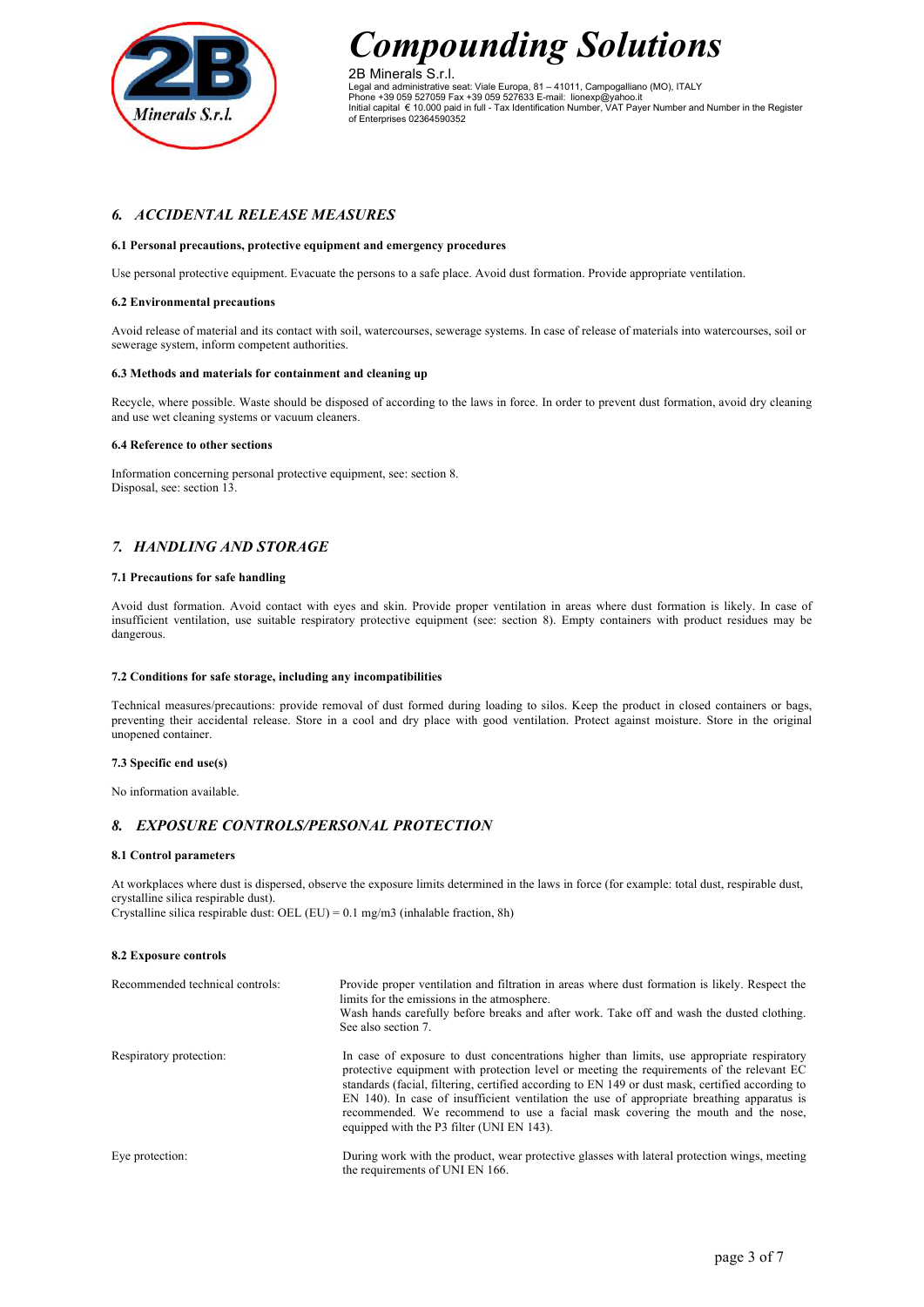

2B Minerals S.r.l. Legal and administrative seat: Viale Europa, 81 – 41011, Campogalliano (MO), ITALY Phone +39 059 527059 Fax +39 059 527633 E-mail: lionexp@yahoo.it Initial capital € 10.000 paid in full - Tax Identification Number, VAT Payer Number and Number in the Register of Enterprises 02364590352

# *6. ACCIDENTAL RELEASE MEASURES*

## **6.1 Personal precautions, protective equipment and emergency procedures**

Use personal protective equipment. Evacuate the persons to a safe place. Avoid dust formation. Provide appropriate ventilation.

#### **6.2 Environmental precautions**

Avoid release of material and its contact with soil, watercourses, sewerage systems. In case of release of materials into watercourses, soil or sewerage system, inform competent authorities.

### **6.3 Methods and materials for containment and cleaning up**

Recycle, where possible. Waste should be disposed of according to the laws in force. In order to prevent dust formation, avoid dry cleaning and use wet cleaning systems or vacuum cleaners.

#### **6.4 Reference to other sections**

Information concerning personal protective equipment, see: section 8. Disposal, see: section 13.

# *7. HANDLING AND STORAGE*

#### **7.1 Precautions for safe handling**

Avoid dust formation. Avoid contact with eyes and skin. Provide proper ventilation in areas where dust formation is likely. In case of insufficient ventilation, use suitable respiratory protective equipment (see: section 8). Empty containers with product residues may be dangerous.

## **7.2 Conditions for safe storage, including any incompatibilities**

Technical measures/precautions: provide removal of dust formed during loading to silos. Keep the product in closed containers or bags, preventing their accidental release. Store in a cool and dry place with good ventilation. Protect against moisture. Store in the original unopened container.

### **7.3 Specific end use(s)**

No information available.

# *8. EXPOSURE CONTROLS/PERSONAL PROTECTION*

#### **8.1 Control parameters**

At workplaces where dust is dispersed, observe the exposure limits determined in the laws in force (for example: total dust, respirable dust, crystalline silica respirable dust). Crystalline silica respirable dust: OEL (EU) =  $0.1$  mg/m3 (inhalable fraction, 8h)

#### **8.2 Exposure controls**

| Recommended technical controls: | Provide proper ventilation and filtration in areas where dust formation is likely. Respect the<br>limits for the emissions in the atmosphere.<br>Wash hands carefully before breaks and after work. Take off and wash the dusted clothing.<br>See also section 7.                                                                                                                                                                                                                                                         |
|---------------------------------|---------------------------------------------------------------------------------------------------------------------------------------------------------------------------------------------------------------------------------------------------------------------------------------------------------------------------------------------------------------------------------------------------------------------------------------------------------------------------------------------------------------------------|
| Respiratory protection:         | In case of exposure to dust concentrations higher than limits, use appropriate respiratory<br>protective equipment with protection level or meeting the requirements of the relevant EC<br>standards (facial, filtering, certified according to EN 149 or dust mask, certified according to<br>EN 140). In case of insufficient ventilation the use of appropriate breathing apparatus is<br>recommended. We recommend to use a facial mask covering the mouth and the nose,<br>equipped with the P3 filter (UNI EN 143). |
| Eye protection:                 | During work with the product, wear protective glasses with lateral protection wings, meeting<br>the requirements of UNI EN 166.                                                                                                                                                                                                                                                                                                                                                                                           |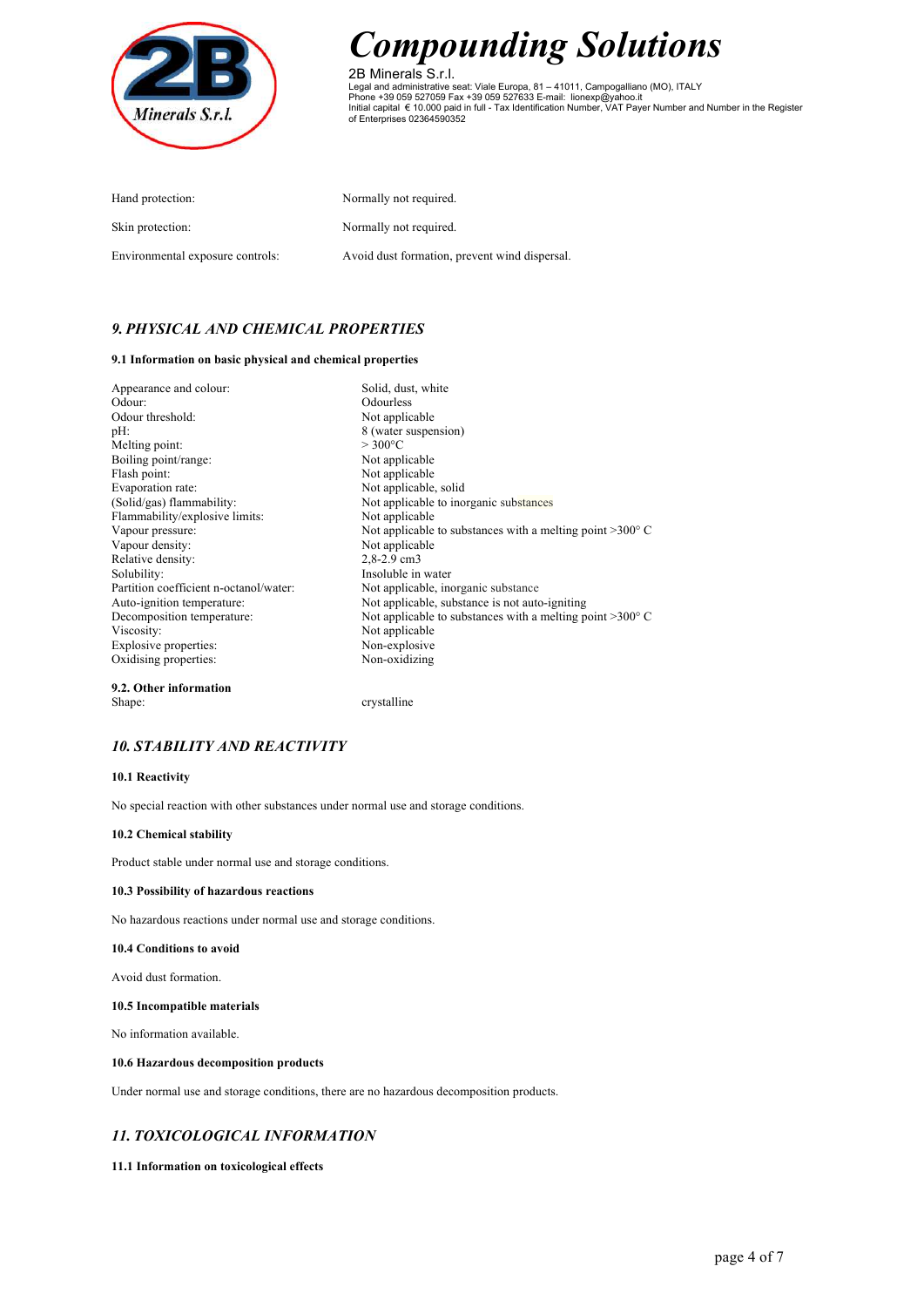

2B Minerals S.r.l. Legal and administrative seat: Viale Europa, 81 – 41011, Campogalliano (MO), ITALY<br>Phone +39 059 527059 Fax +39 059 527633 E-mail: lionexp@yahoo.it<br>Initial capital € 10.000 paid in full - Tax Identification Number, VAT

| Hand protection:                 | Normally not required.                        |
|----------------------------------|-----------------------------------------------|
| Skin protection:                 | Normally not required.                        |
| Environmental exposure controls: | Avoid dust formation, prevent wind dispersal. |

# *9. PHYSICAL AND CHEMICAL PROPERTIES*

## **9.1 Information on basic physical and chemical properties**

| Appearance and colour:                 | Solid, dust, white                                                 |
|----------------------------------------|--------------------------------------------------------------------|
| Odour:                                 | Odourless                                                          |
| Odour threshold:                       | Not applicable                                                     |
| $pH$ :                                 | 8 (water suspension)                                               |
| Melting point:                         | $>300^{\circ}$ C                                                   |
| Boiling point/range:                   | Not applicable                                                     |
| Flash point:                           | Not applicable                                                     |
| Evaporation rate:                      | Not applicable, solid                                              |
| (Solid/gas) flammability:              | Not applicable to inorganic substances                             |
| Flammability/explosive limits:         | Not applicable                                                     |
| Vapour pressure:                       | Not applicable to substances with a melting point $>300^{\circ}$ C |
| Vapour density:                        | Not applicable                                                     |
| Relative density:                      | $2,8-2.9$ cm3                                                      |
| Solubility:                            | Insoluble in water                                                 |
| Partition coefficient n-octanol/water: | Not applicable, inorganic substance                                |
| Auto-ignition temperature:             | Not applicable, substance is not auto-igniting                     |
| Decomposition temperature:             | Not applicable to substances with a melting point $>300^{\circ}$ C |
| Viscosity:                             | Not applicable                                                     |
| Explosive properties:                  | Non-explosive                                                      |
| Oxidising properties:                  | Non-oxidizing                                                      |
| 9.2. Other information                 |                                                                    |
| Shape:                                 | crystalline                                                        |

# *10. STABILITY AND REACTIVITY*

## **10.1 Reactivity**

No special reaction with other substances under normal use and storage conditions.

## **10.2 Chemical stability**

Product stable under normal use and storage conditions.

#### **10.3 Possibility of hazardous reactions**

No hazardous reactions under normal use and storage conditions.

#### **10.4 Conditions to avoid**

Avoid dust formation.

### **10.5 Incompatible materials**

No information available.

### **10.6 Hazardous decomposition products**

Under normal use and storage conditions, there are no hazardous decomposition products.

# *11. TOXICOLOGICAL INFORMATION*

#### **11.1 Information on toxicological effects**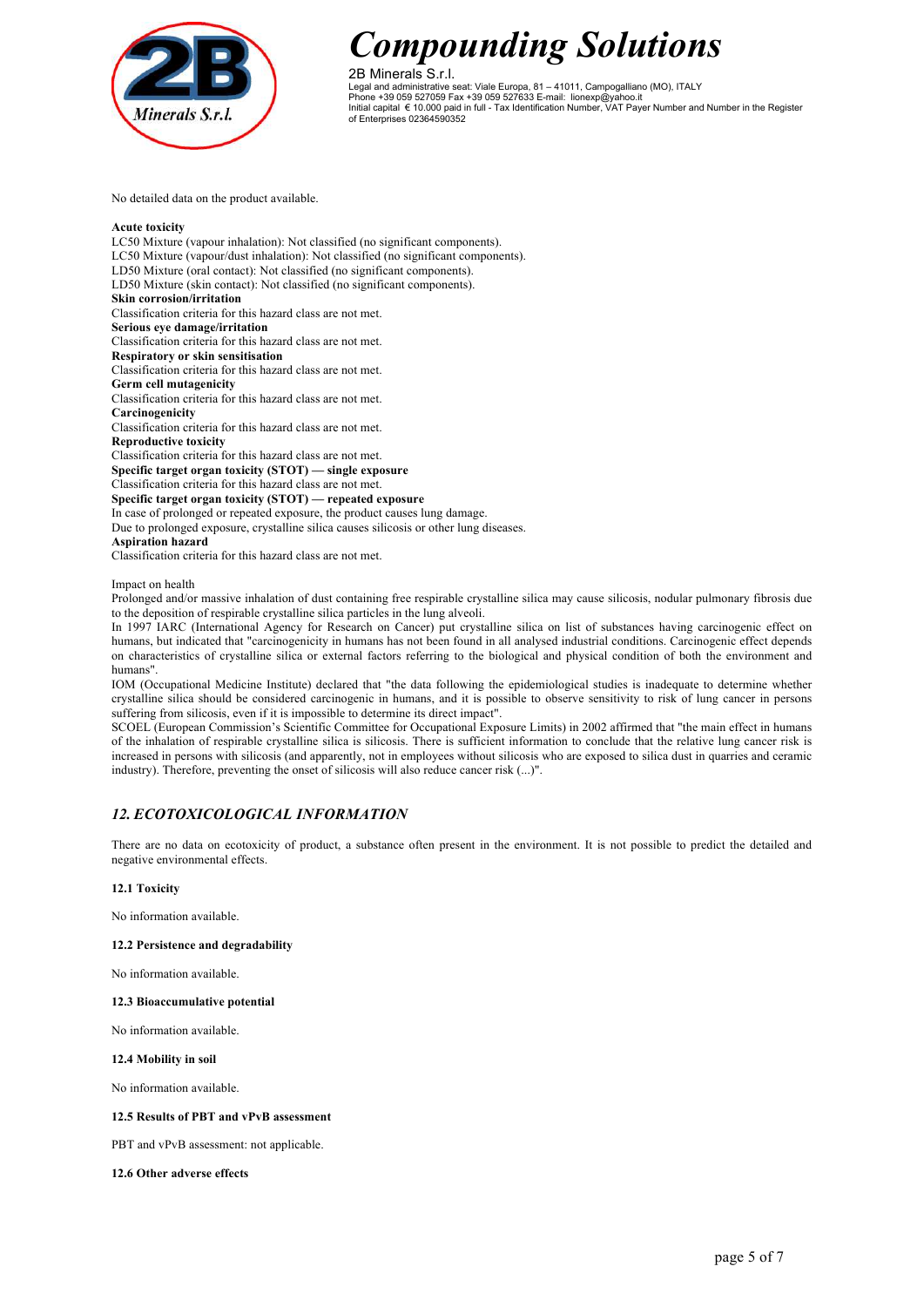

2B Minerals S.r.l. Legal and administrative seat: Viale Europa, 81 – 41011, Campogalliano (MO), ITALY Phone +39 059 527059 Fax +39 059 527633 E-mail: lionexp@yahoo.it Initial capital € 10.000 paid in full - Tax Identification Number, VAT Payer Number and Number in the Register of Enterprises 02364590352

No detailed data on the product available.

### **Acute toxicity**

LC50 Mixture (vapour inhalation): Not classified (no significant components). LC50 Mixture (vapour/dust inhalation): Not classified (no significant components). LD50 Mixture (oral contact): Not classified (no significant components). LD50 Mixture (skin contact): Not classified (no significant components). **Skin corrosion/irritation** Classification criteria for this hazard class are not met. **Serious eye damage/irritation** Classification criteria for this hazard class are not met. **Respiratory or skin sensitisation** Classification criteria for this hazard class are not met. **Germ cell mutagenicity** Classification criteria for this hazard class are not met. **Carcinogenicity** Classification criteria for this hazard class are not met. **Reproductive toxicity** Classification criteria for this hazard class are not met. **Specific target organ toxicity (STOT) — single exposure** Classification criteria for this hazard class are not met. **Specific target organ toxicity (STOT) — repeated exposure** In case of prolonged or repeated exposure, the product causes lung damage. Due to prolonged exposure, crystalline silica causes silicosis or other lung diseases. **Aspiration hazard** Classification criteria for this hazard class are not met.

Impact on health

Prolonged and/or massive inhalation of dust containing free respirable crystalline silica may cause silicosis, nodular pulmonary fibrosis due to the deposition of respirable crystalline silica particles in the lung alveoli.

In 1997 IARC (International Agency for Research on Cancer) put crystalline silica on list of substances having carcinogenic effect on humans, but indicated that "carcinogenicity in humans has not been found in all analysed industrial conditions. Carcinogenic effect depends on characteristics of crystalline silica or external factors referring to the biological and physical condition of both the environment and humans".

IOM (Occupational Medicine Institute) declared that "the data following the epidemiological studies is inadequate to determine whether crystalline silica should be considered carcinogenic in humans, and it is possible to observe sensitivity to risk of lung cancer in persons suffering from silicosis, even if it is impossible to determine its direct impact".

SCOEL (European Commission's Scientific Committee for Occupational Exposure Limits) in 2002 affirmed that "the main effect in humans of the inhalation of respirable crystalline silica is silicosis. There is sufficient information to conclude that the relative lung cancer risk is increased in persons with silicosis (and apparently, not in employees without silicosis who are exposed to silica dust in quarries and ceramic industry). Therefore, preventing the onset of silicosis will also reduce cancer risk (...)".

# *12. ECOTOXICOLOGICAL INFORMATION*

There are no data on ecotoxicity of product, a substance often present in the environment. It is not possible to predict the detailed and negative environmental effects.

## **12.1 Toxicity**

No information available.

## **12.2 Persistence and degradability**

No information available.

#### **12.3 Bioaccumulative potential**

No information available.

#### **12.4 Mobility in soil**

No information available.

## **12.5 Results of PBT and vPvB assessment**

PBT and vPvB assessment: not applicable.

#### **12.6 Other adverse effects**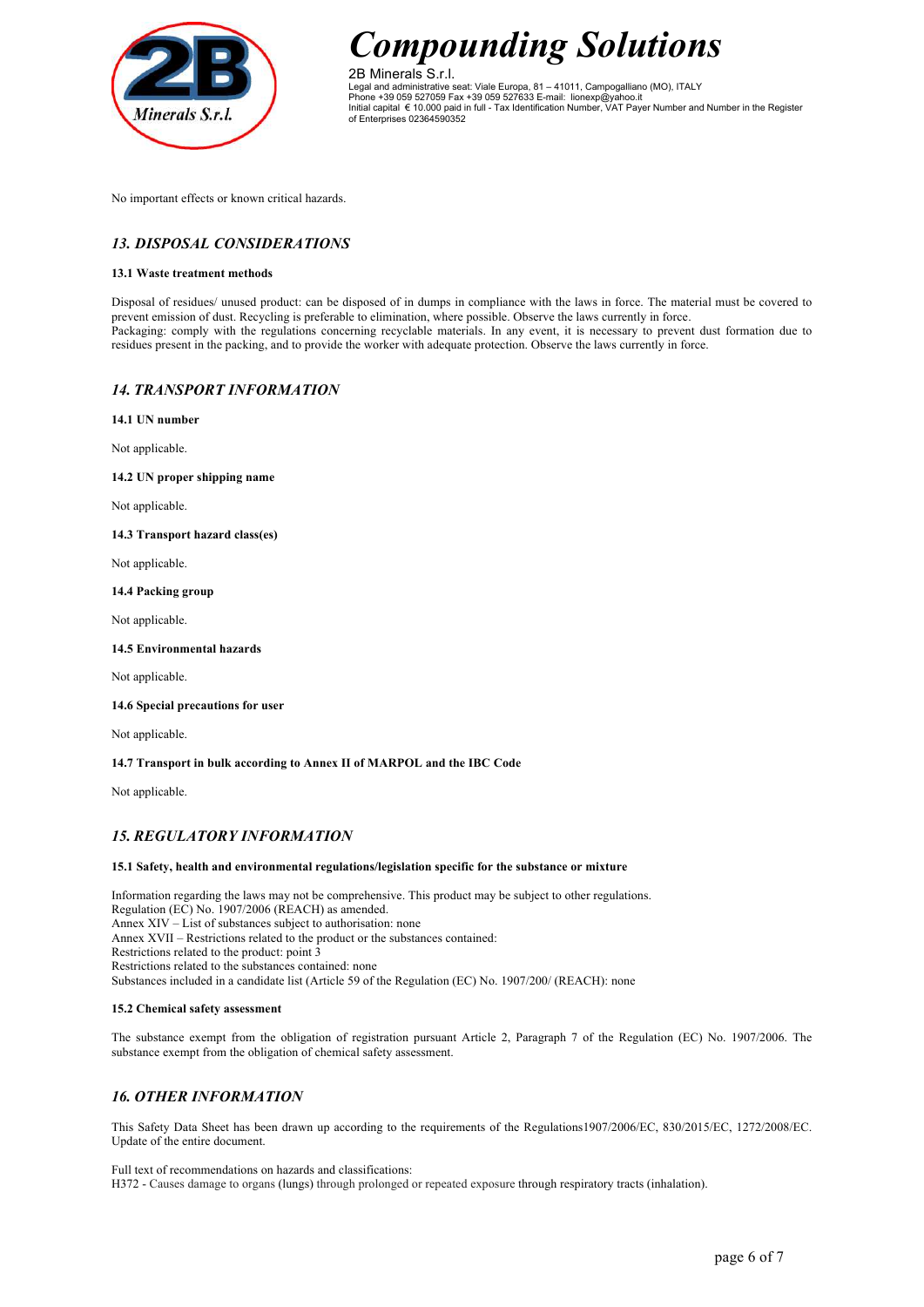

2B Minerals S.r.l. Legal and administrative seat: Viale Europa, 81 – 41011, Campogalliano (MO), ITALY Phone +39 059 527059 Fax +39 059 527633 E-mail: lionexp@yahoo.it Initial capital € 10.000 paid in full - Tax Identification Number, VAT Payer Number and Number in the Register of Enterprises 02364590352

No important effects or known critical hazards.

# *13. DISPOSAL CONSIDERATIONS*

## **13.1 Waste treatment methods**

Disposal of residues/ unused product: can be disposed of in dumps in compliance with the laws in force. The material must be covered to prevent emission of dust. Recycling is preferable to elimination, where possible. Observe the laws currently in force. Packaging: comply with the regulations concerning recyclable materials. In any event, it is necessary to prevent dust formation due to residues present in the packing, and to provide the worker with adequate protection. Observe the laws currently in force.

## *14. TRANSPORT INFORMATION*

**14.1 UN number**

Not applicable.

**14.2 UN proper shipping name**

Not applicable.

**14.3 Transport hazard class(es)**

Not applicable.

### **14.4 Packing group**

Not applicable.

### **14.5 Environmental hazards**

Not applicable.

## **14.6 Special precautions for user**

Not applicable.

## **14.7 Transport in bulk according to Annex II of MARPOL and the IBC Code**

Not applicable.

# *15. REGULATORY INFORMATION*

## **15.1 Safety, health and environmental regulations/legislation specific for the substance or mixture**

Information regarding the laws may not be comprehensive. This product may be subject to other regulations. Regulation (EC) No. 1907/2006 (REACH) as amended. Annex XIV – List of substances subject to authorisation: none Annex XVII – Restrictions related to the product or the substances contained: Restrictions related to the product: point 3 Restrictions related to the substances contained: none Substances included in a candidate list (Article 59 of the Regulation (EC) No. 1907/200/ (REACH): none

#### **15.2 Chemical safety assessment**

The substance exempt from the obligation of registration pursuant Article 2, Paragraph 7 of the Regulation (EC) No. 1907/2006. The substance exempt from the obligation of chemical safety assessment.

# *16. OTHER INFORMATION*

This Safety Data Sheet has been drawn up according to the requirements of the Regulations1907/2006/EC, 830/2015/EC, 1272/2008/EC. Update of the entire document.

#### Full text of recommendations on hazards and classifications: H372 - Causes damage to organs (lungs) through prolonged or repeated exposure through respiratory tracts (inhalation).